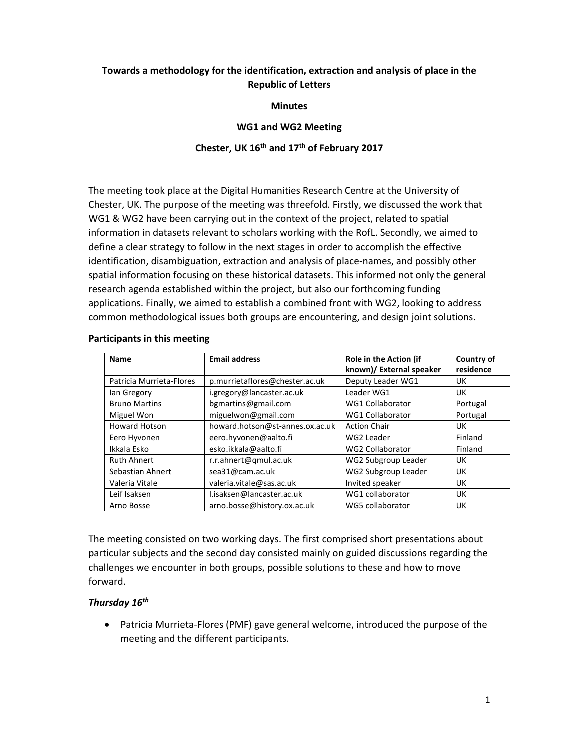# **Towards a methodology for the identification, extraction and analysis of place in the Republic of Letters**

**Minutes** 

### **WG1 and WG2 Meeting**

## **Chester, UK 16th and 17th of February 2017**

The meeting took place at the Digital Humanities Research Centre at the University of Chester, UK. The purpose of the meeting was threefold. Firstly, we discussed the work that WG1 & WG2 have been carrying out in the context of the project, related to spatial information in datasets relevant to scholars working with the RofL. Secondly, we aimed to define a clear strategy to follow in the next stages in order to accomplish the effective identification, disambiguation, extraction and analysis of place-names, and possibly other spatial information focusing on these historical datasets. This informed not only the general research agenda established within the project, but also our forthcoming funding applications. Finally, we aimed to establish a combined front with WG2, looking to address common methodological issues both groups are encountering, and design joint solutions.

| <b>Name</b>              | <b>Email address</b>            | Role in the Action (if<br>known)/ External speaker | Country of<br>residence |
|--------------------------|---------------------------------|----------------------------------------------------|-------------------------|
| Patricia Murrieta-Flores | p.murrietaflores@chester.ac.uk  | Deputy Leader WG1                                  | UK                      |
| lan Gregory              | i.gregory@lancaster.ac.uk       | Leader WG1                                         | UK                      |
| <b>Bruno Martins</b>     | bgmartins@gmail.com             | <b>WG1 Collaborator</b>                            | Portugal                |
| Miguel Won               | miguelwon@gmail.com             | <b>WG1 Collaborator</b>                            | Portugal                |
| <b>Howard Hotson</b>     | howard.hotson@st-annes.ox.ac.uk | <b>Action Chair</b>                                | UK                      |
| Eero Hyvonen             | eero.hyvonen@aalto.fi           | WG2 Leader                                         | Finland                 |
| Ikkala Esko              | esko.ikkala@aalto.fi            | <b>WG2 Collaborator</b>                            | Finland                 |
| <b>Ruth Ahnert</b>       | r.r.ahnert@qmul.ac.uk           | WG2 Subgroup Leader                                | UK                      |
| Sebastian Ahnert         | sea31@cam.ac.uk                 | WG2 Subgroup Leader                                | UK                      |
| Valeria Vitale           | valeria.vitale@sas.ac.uk        | Invited speaker                                    | UK                      |
| Leif Isaksen             | l.isaksen@lancaster.ac.uk       | WG1 collaborator                                   | UK                      |
| Arno Bosse               | arno.bosse@history.ox.ac.uk     | WG5 collaborator                                   | UK                      |

### **Participants in this meeting**

The meeting consisted on two working days. The first comprised short presentations about particular subjects and the second day consisted mainly on guided discussions regarding the challenges we encounter in both groups, possible solutions to these and how to move forward.

### *Thursday 16th*

• Patricia Murrieta-Flores (PMF) gave general welcome, introduced the purpose of the meeting and the different participants.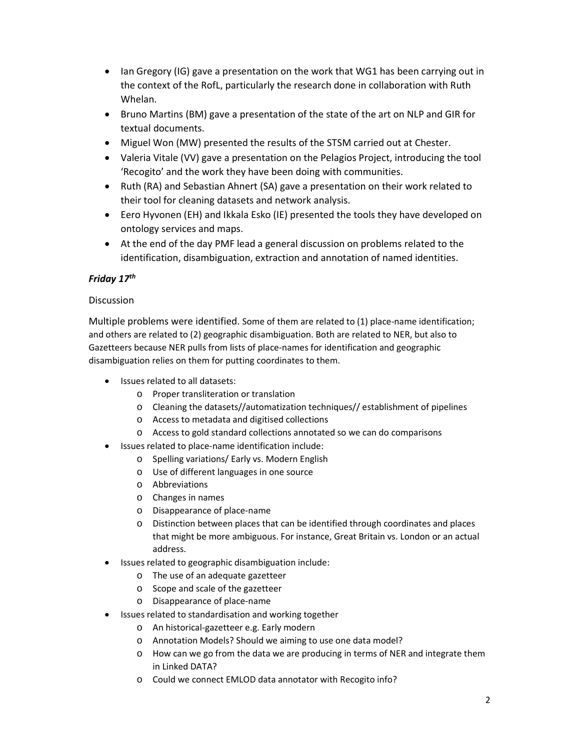- Ian Gregory (IG) gave a presentation on the work that WG1 has been carrying out in the context of the RofL, particularly the research done in collaboration with Ruth Whelan.
- Bruno Martins (BM) gave a presentation of the state of the art on NLP and GIR for textual documents.
- Miguel Won (MW) presented the results of the STSM carried out at Chester.
- Valeria Vitale (VV) gave a presentation on the Pelagios Project, introducing the tool 'Recogito' and the work they have been doing with communities.
- Ruth (RA) and Sebastian Ahnert (SA) gave a presentation on their work related to their tool for cleaning datasets and network analysis.
- Eero Hyvonen (EH) and Ikkala Esko (IE) presented the tools they have developed on ontology services and maps.
- At the end of the day PMF lead a general discussion on problems related to the identification, disambiguation, extraction and annotation of named identities.

# *Friday 17th*

## **Discussion**

Multiple problems were identified. Some of them are related to (1) place-name identification; and others are related to (2) geographic disambiguation. Both are related to NER, but also to Gazetteers because NER pulls from lists of place-names for identification and geographic disambiguation relies on them for putting coordinates to them.

- Issues related to all datasets:
	- o Proper transliteration or translation
	- o Cleaning the datasets//automatization techniques// establishment of pipelines
	- o Access to metadata and digitised collections
	- o Access to gold standard collections annotated so we can do comparisons
- Issues related to place-name identification include:
	- o Spelling variations/ Early vs. Modern English
	- o Use of different languages in one source
	- o Abbreviations
	- o Changes in names
	- o Disappearance of place-name
	- o Distinction between places that can be identified through coordinates and places that might be more ambiguous. For instance, Great Britain vs. London or an actual address.
- Issues related to geographic disambiguation include:
	- o The use of an adequate gazetteer
	- o Scope and scale of the gazetteer
	- o Disappearance of place-name
- Issues related to standardisation and working together
	- o An historical-gazetteer e.g. Early modern
	- o Annotation Models? Should we aiming to use one data model?
	- o How can we go from the data we are producing in terms of NER and integrate them in Linked DATA?
	- o Could we connect EMLOD data annotator with Recogito info?